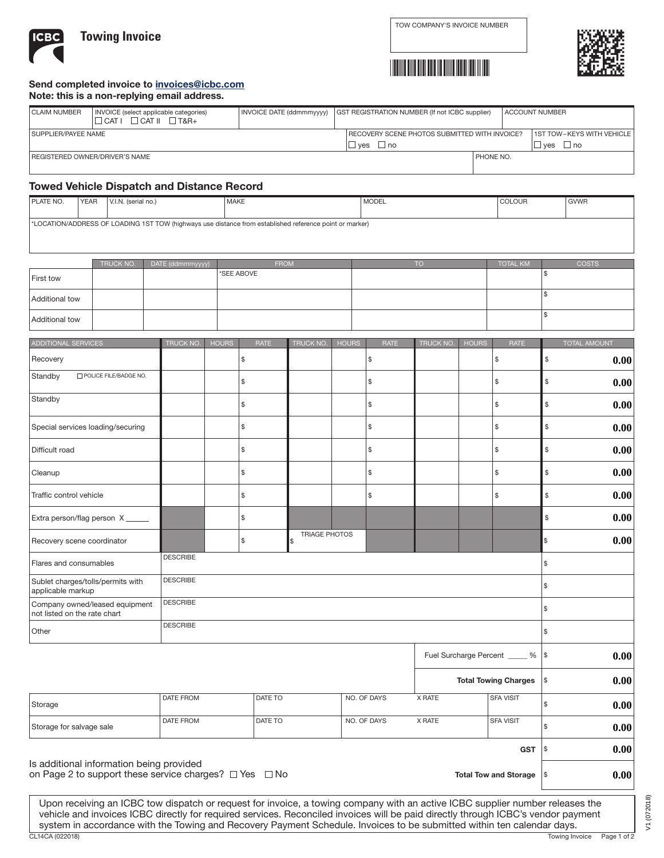TOW COMPANY'S INVOICE NUMBER



 $\overline{\mathcal{M}}$ 

## Send completed invoice to invoices@icbc.com Note: this is a non-replying email address.

**Towing Invoice** 

**ICBC** 

| Send completed invoice to invoices cocont   |                                                               |  |                                                                                           |  |                           |                      |  |  |  |
|---------------------------------------------|---------------------------------------------------------------|--|-------------------------------------------------------------------------------------------|--|---------------------------|----------------------|--|--|--|
| Note: this is a non-replying email address. |                                                               |  |                                                                                           |  |                           |                      |  |  |  |
| <b>CLAIM NUMBER</b>                         | INVOICE (select applicable categories)<br>I⊟CATI ⊟CATII ⊟T&R+ |  | INVOICE DATE (ddmmmyyyy) GST REGISTRATION NUMBER (If not ICBC supplier)<br>ACCOUNT NUMBER |  |                           |                      |  |  |  |
| SUPPLIER/PAYEE NAME                         |                                                               |  | RECOVERY SCENE PHOTOS SUBMITTED WITH INVOICE?                                             |  | 1ST TOW-KEYS WITH VEHICLE |                      |  |  |  |
|                                             |                                                               |  | $\Box$ yes $\Box$ no                                                                      |  |                           | $\Box$ ves $\Box$ no |  |  |  |
| REGISTERED OWNER/DRIVER'S NAME              |                                                               |  | <b>PHONE NO.</b>                                                                          |  |                           |                      |  |  |  |
|                                             |                                                               |  |                                                                                           |  |                           |                      |  |  |  |

## Towed Vehicle Dispatch and Distance Record

| PLATE NO.                                              | YEAR |                                                                                                         | V.I.N. (serial no.) |              | <b>Towed Vehicle Dispatch and Distance Record</b><br>MAKE |               |              | <b>MODEL</b> |                  |              | COLOUR                             | GVWR       |              |
|--------------------------------------------------------|------|---------------------------------------------------------------------------------------------------------|---------------------|--------------|-----------------------------------------------------------|---------------|--------------|--------------|------------------|--------------|------------------------------------|------------|--------------|
|                                                        |      | *LOCATION/ADDRESS OF LOADING 1ST TOW (highways use distance from established reference point or marker) |                     |              |                                                           |               |              |              |                  |              |                                    |            |              |
|                                                        |      |                                                                                                         |                     |              |                                                           |               |              |              |                  |              |                                    |            |              |
|                                                        |      |                                                                                                         |                     |              |                                                           |               |              |              |                  |              |                                    |            |              |
|                                                        |      | TRUCK NO.                                                                                               | DATE (ddmmmyyyy)    | *SEE ABOVE   | FROM                                                      |               |              |              | TO               |              | <b>TOTAL KM</b>                    | \$         | <b>COSTS</b> |
| First tow                                              |      |                                                                                                         |                     |              |                                                           |               |              |              |                  |              |                                    |            |              |
| Additional tow                                         |      |                                                                                                         |                     |              |                                                           |               |              |              |                  |              |                                    | l \$       |              |
| Additional tow                                         |      |                                                                                                         |                     |              |                                                           |               |              |              |                  |              |                                    | l \$       |              |
| ADDITIONAL SERVICES                                    |      |                                                                                                         | TRUCK NO.           | <b>HOURS</b> | <b>RATE</b>                                               | TRUCK NO.     | <b>HOURS</b> | RATE         | TRUCK NO.        | <b>HOURS</b> | RATE                               |            | TOTAL AMOUNT |
| Recovery                                               |      |                                                                                                         |                     | \$           |                                                           |               | \$           |              |                  | Ι\$          | \$                                 | 0.00       |              |
| Standby<br>POLICE FILE/BADGE NO.                       |      |                                                                                                         |                     | \$           |                                                           |               | l \$         |              |                  | \$           | \$                                 | 0.00       |              |
| Standby                                                |      |                                                                                                         |                     | \$           |                                                           |               | l\$          |              |                  | \$           | \$                                 | 0.00       |              |
| Special services loading/securing                      |      |                                                                                                         |                     | \$           |                                                           |               | \$           |              |                  | \$           | \$                                 | 0.00       |              |
| Difficult road                                         |      |                                                                                                         |                     | \$           |                                                           |               | l\$          |              |                  | \$           | \$                                 | 0.00       |              |
| Cleanup                                                |      |                                                                                                         |                     | \$           |                                                           |               | l\$          |              |                  | \$           | \$                                 | 0.00       |              |
| Traffic control vehicle                                |      |                                                                                                         |                     |              | \$                                                        |               |              | l \$         |                  |              | l \$                               | \$         | 0.00         |
| Extra person/flag person X                             |      |                                                                                                         |                     | \$           |                                                           |               |              |              |                  |              | \$                                 | 0.00       |              |
|                                                        |      |                                                                                                         |                     |              |                                                           | TRIAGE PHOTOS |              |              |                  |              |                                    |            |              |
| Recovery scene coordinator                             |      |                                                                                                         |                     | \$           |                                                           |               |              |              |                  |              | ls                                 | 0.00       |              |
| Flares and consumables                                 |      |                                                                                                         | <b>DESCRIBE</b>     |              |                                                           |               |              |              |                  |              |                                    | l \$       |              |
| Sublet charges/tolls/permits with<br>applicable markup |      | <b>DESCRIBE</b>                                                                                         | \$                  |              |                                                           |               |              |              |                  |              |                                    |            |              |
| not listed on the rate chart                           |      | Company owned/leased equipment                                                                          | <b>DESCRIBE</b>     |              |                                                           |               |              |              |                  |              |                                    | \$         |              |
| Other                                                  |      |                                                                                                         | <b>DESCRIBE</b>     |              |                                                           |               |              |              |                  |              |                                    |            |              |
|                                                        |      |                                                                                                         |                     |              |                                                           |               |              |              |                  |              | Fuel Surcharge Percent _____ % \\$ |            | 0.00         |
|                                                        |      |                                                                                                         |                     |              |                                                           |               |              |              |                  |              | <b>Total Towing Charges</b>        | \$         | 0.00         |
|                                                        |      | DATE FROM                                                                                               | DATE TO             |              |                                                           |               | NO. OF DAYS  | X RATE       | <b>SFA VISIT</b> |              | \$                                 |            |              |
| Storage                                                |      | DATE FROM                                                                                               | DATE TO             |              |                                                           | NO. OF DAYS   |              | X RATE       |                  | SFA VISIT    |                                    | 0.00       |              |
| Storage for salvage sale                               |      |                                                                                                         |                     |              |                                                           |               |              |              |                  | \$           | $\boldsymbol{0.00}$                |            |              |
|                                                        |      |                                                                                                         |                     |              |                                                           |               |              |              |                  |              | GST                                | $\vert$ \$ | 0.00         |
|                                                        |      | Is additional information being provided<br>on Page 2 to support these service charges? □ Yes □ No      |                     |              |                                                           |               |              |              |                  |              | <b>Total Tow and Storage</b>       | $\vert$ \$ | $0.00\,$     |

CL14CA (022018) Towing Invoice Page 1 of 2 Upon receiving an ICBC tow dispatch or request for invoice, a towing company with an active ICBC supplier number releases the vehicle and invoices ICBC directly for required services. Reconciled invoices will be paid directly through ICBC's vendor payment system in accordance with the Towing and Recovery Payment Schedule. Invoices to be submitted within ten calendar days.<br>CL14CA (022018) Towing Inv

V1 (072018)